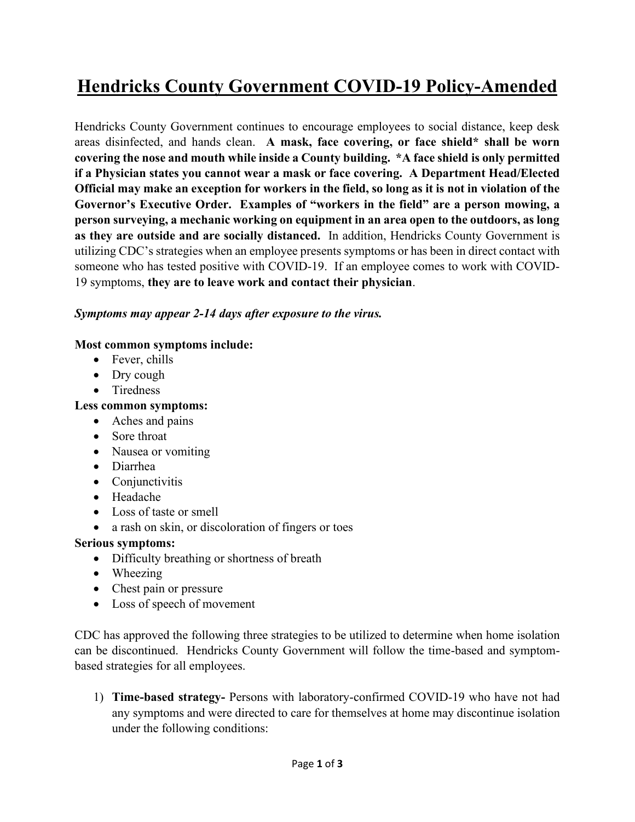# **Hendricks County Government COVID-19 Policy-Amended**

Hendricks County Government continues to encourage employees to social distance, keep desk areas disinfected, and hands clean. **A mask, face covering, or face shield\* shall be worn covering the nose and mouth while inside a County building. \*A face shield is only permitted if a Physician states you cannot wear a mask or face covering. A Department Head/Elected Official may make an exception for workers in the field, so long as it is not in violation of the Governor's Executive Order. Examples of "workers in the field" are a person mowing, a person surveying, a mechanic working on equipment in an area open to the outdoors, as long as they are outside and are socially distanced.** In addition, Hendricks County Government is utilizing CDC's strategies when an employee presents symptoms or has been in direct contact with someone who has tested positive with COVID-19. If an employee comes to work with COVID-19 symptoms, **they are to leave work and contact their physician**.

### *Symptoms may appear 2-14 days after exposure to the virus.*

### **Most common symptoms include:**

- Fever, chills
- Dry cough
- Tiredness

## **Less common symptoms:**

- Aches and pains
- Sore throat
- Nausea or vomiting
- Diarrhea
- Conjunctivitis
- Headache
- Loss of taste or smell
- a rash on skin, or discoloration of fingers or toes

### **Serious symptoms:**

- Difficulty breathing or shortness of breath
- Wheezing
- Chest pain or pressure
- Loss of speech of movement

CDC has approved the following three strategies to be utilized to determine when home isolation can be discontinued. Hendricks County Government will follow the time-based and symptombased strategies for all employees.

1) **Time-based strategy-** Persons with laboratory-confirmed COVID-19 who have not had any symptoms and were directed to care for themselves at home may discontinue isolation under the following conditions: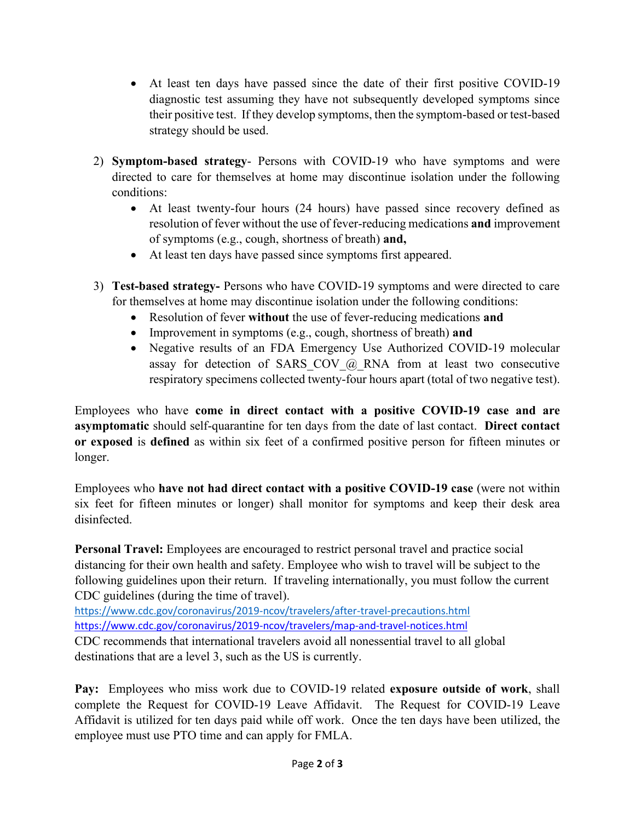- At least ten days have passed since the date of their first positive COVID-19 diagnostic test assuming they have not subsequently developed symptoms since their positive test. If they develop symptoms, then the symptom-based or test-based strategy should be used.
- 2) **Symptom-based strategy** Persons with COVID-19 who have symptoms and were directed to care for themselves at home may discontinue isolation under the following conditions:
	- At least twenty-four hours (24 hours) have passed since recovery defined as resolution of fever without the use of fever-reducing medications **and** improvement of symptoms (e.g., cough, shortness of breath) **and,**
	- At least ten days have passed since symptoms first appeared.
- 3) **Test-based strategy-** Persons who have COVID-19 symptoms and were directed to care for themselves at home may discontinue isolation under the following conditions:
	- Resolution of fever **without** the use of fever-reducing medications **and**
	- Improvement in symptoms (e.g., cough, shortness of breath) **and**
	- Negative results of an FDA Emergency Use Authorized COVID-19 molecular assay for detection of SARS COV  $@$  RNA from at least two consecutive respiratory specimens collected twenty-four hours apart (total of two negative test).

Employees who have **come in direct contact with a positive COVID-19 case and are asymptomatic** should self-quarantine for ten days from the date of last contact. **Direct contact or exposed** is **defined** as within six feet of a confirmed positive person for fifteen minutes or longer.

Employees who **have not had direct contact with a positive COVID-19 case** (were not within six feet for fifteen minutes or longer) shall monitor for symptoms and keep their desk area disinfected.

**Personal Travel:** Employees are encouraged to restrict personal travel and practice social distancing for their own health and safety. Employee who wish to travel will be subject to the following guidelines upon their return. If traveling internationally, you must follow the current CDC guidelines (during the time of travel).

<https://www.cdc.gov/coronavirus/2019-ncov/travelers/after-travel-precautions.html> [https://www.cdc.gov/coronavirus/2019-ncov/travelers/map-and-travel-notices.html](https://gcc02.safelinks.protection.outlook.com/?url=https%3A%2F%2Fwww.cdc.gov%2Fcoronavirus%2F2019-ncov%2Ftravelers%2Fmap-and-travel-notices.html&data=02%7C01%7Cehughes%40co.hendricks.in.us%7Cee0da98008054ea6def708d82ce23014%7Cf22f0e7fe07d45e4b3c0d6d2dbf57392%7C0%7C0%7C637308697258099793&sdata=ZB7dGrzJiTL2t2IqohQm%2FXBd97Iq%2FrZi7eg57nAGqIc%3D&reserved=0)

CDC recommends that international travelers avoid all nonessential travel to all global destinations that are a level 3, such as the US is currently.

**Pay:** Employees who miss work due to COVID-19 related **exposure outside of work**, shall complete the Request for COVID-19 Leave Affidavit. The Request for COVID-19 Leave Affidavit is utilized for ten days paid while off work. Once the ten days have been utilized, the employee must use PTO time and can apply for FMLA.